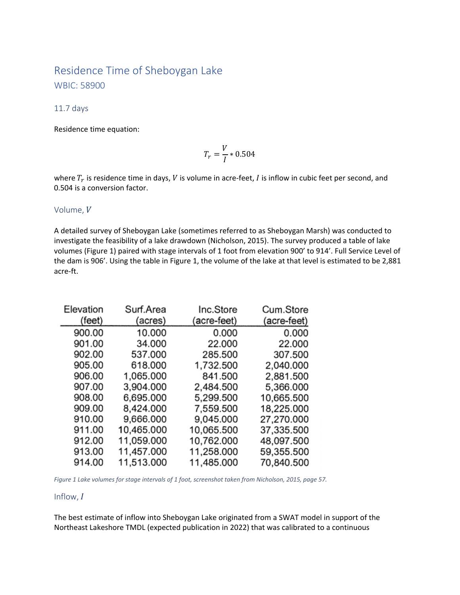# Residence Time of Sheboygan Lake WBIC: 58900

#### 11.7 days

#### Residence time equation:

$$
T_r = \frac{V}{I} * 0.504
$$

where  $T_r$  is residence time in days,  $V$  is volume in acre-feet,  $I$  is inflow in cubic feet per second, and 0.504 is a conversion factor.

### Volume, V

A detailed survey of Sheboygan Lake (sometimes referred to as Sheboygan Marsh) was conducted to investigate the feasibility of a lake drawdown (Nicholson, 2015). The survey produced a table of lake volumes (Figure 1) paired with stage intervals of 1 foot from elevation 900' to 914'. Full Service Level of the dam is 906'. Using the table in Figure 1, the volume of the lake at that level is estimated to be 2,881 acre-ft.

| Elevation | Surf.Area  | Inc.Store   | Cum.Store   |
|-----------|------------|-------------|-------------|
| (feet)    | (acres)    | (acre-feet) | (acre-feet) |
| 900.00    | 10.000     | 0.000       | 0.000       |
| 901.00    | 34.000     | 22.000      | 22.000      |
| 902.00    | 537.000    | 285.500     | 307.500     |
| 905.00    | 618.000    | 1,732.500   | 2,040.000   |
| 906.00    | 1,065.000  | 841.500     | 2,881.500   |
| 907.00    | 3,904.000  | 2.484.500   | 5,366.000   |
| 908.00    | 6,695.000  | 5,299.500   | 10,665.500  |
| 909.00    | 8,424.000  | 7,559.500   | 18,225,000  |
| 910.00    | 9,666.000  | 9,045.000   | 27,270.000  |
| 911.00    | 10,465.000 | 10,065.500  | 37,335.500  |
| 912.00    | 11,059.000 | 10,762.000  | 48,097.500  |
| 913.00    | 11,457.000 | 11,258.000  | 59,355.500  |
| 914.00    | 11,513.000 | 11,485.000  | 70,840.500  |

*Figure 1 Lake volumes for stage intervals of 1 foot, screenshot taken from Nicholson, 2015, page 57.*

### Inflow,  $I$

The best estimate of inflow into Sheboygan Lake originated from a SWAT model in support of the Northeast Lakeshore TMDL (expected publication in 2022) that was calibrated to a continuous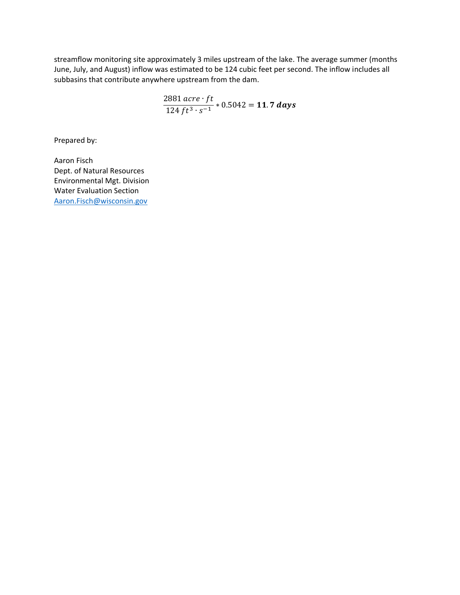streamflow monitoring site approximately 3 miles upstream of the lake. The average summer (months June, July, and August) inflow was estimated to be 124 cubic feet per second. The inflow includes all subbasins that contribute anywhere upstream from the dam.

$$
\frac{2881 \, \text{acre} \cdot \text{ft}}{124 \, \text{ft}^3 \cdot \text{s}^{-1}} * 0.5042 = 11.7 \, \text{days}
$$

Prepared by:

Aaron Fisch Dept. of Natural Resources Environmental Mgt. Division Water Evaluation Section [Aaron.Fisch@wisconsin.gov](mailto:Aaron.Fisch@wisconsin.gov)